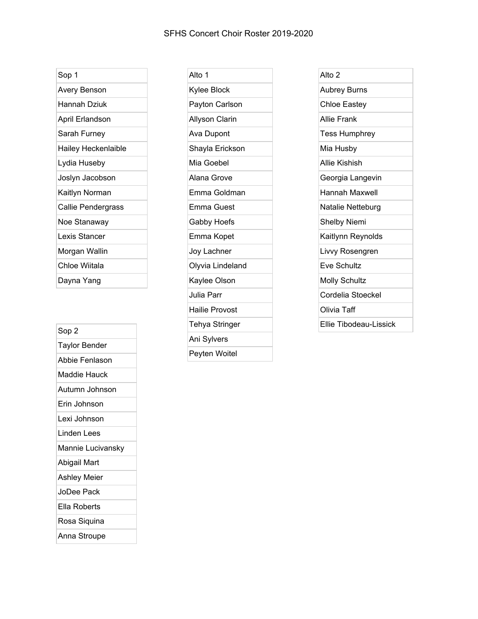## SFHS Concert Choir Roster 2019-2020

| Sop 1               |
|---------------------|
| Avery Benson        |
| Hannah Dziuk        |
| April Erlandson     |
| Sarah Furney        |
| Hailey Heckenlaible |
| Lydia Huseby        |
| Joslyn Jacobson     |
| Kaitlyn Norman      |
| Callie Pendergrass  |
| Noe Stanaway        |
| Lexis Stancer       |
| Morgan Wallin       |
| Chloe Wiitala       |
| Dayna Yang          |

Sop 2 Taylor Bender Abbie Fenlason Maddie Hauck Autumn Johnson Erin Johnson Lexi Johnson Linden Lees Mannie Lucivansky Abigail Mart Ashley Meier JoDee Pack Ella Roberts Rosa Siquina Anna Stroupe

| Alto 1                |
|-----------------------|
| Kylee Block           |
| Payton Carlson        |
| Allyson Clarin        |
| Ava Dupont            |
| Shayla Erickson       |
| Mia Goebel            |
| Alana Grove           |
| Emma Goldman          |
| <b>Emma Guest</b>     |
| <b>Gabby Hoefs</b>    |
| Emma Kopet            |
| Joy Lachner           |
| Olyvia Lindeland      |
| Kaylee Olson          |
| Julia Parr            |
| <b>Hailie Provost</b> |
| <b>Tehya Stringer</b> |
| Ani Sylvers           |
| Peyten Woitel         |

| Alto 2               |
|----------------------|
| <b>Aubrey Burns</b>  |
| <b>Chloe Eastey</b>  |
| <b>Allie Frank</b>   |
| <b>Tess Humphrey</b> |
| Mia Husby            |
| Allie Kishish        |
| Georgia Langevin     |
| Hannah Maxwell       |
| Natalie Netteburg    |
| Shelby Niemi         |
| Kaitlynn Reynolds    |
| Livvy Rosengren      |
| Eve Schultz          |
| <b>Molly Schultz</b> |
| Cordelia Stoeckel    |
| Olivia Taff          |
|                      |